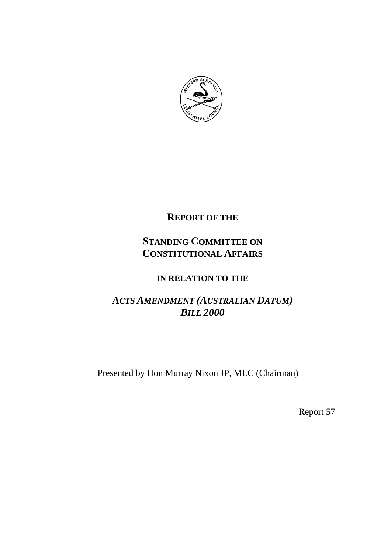

## **REPORT OF THE**

# **STANDING COMMITTEE ON CONSTITUTIONAL AFFAIRS**

## **IN RELATION TO THE**

# *ACTS AMENDMENT (AUSTRALIAN DATUM) BILL 2000*

Presented by Hon Murray Nixon JP, MLC (Chairman)

Report 57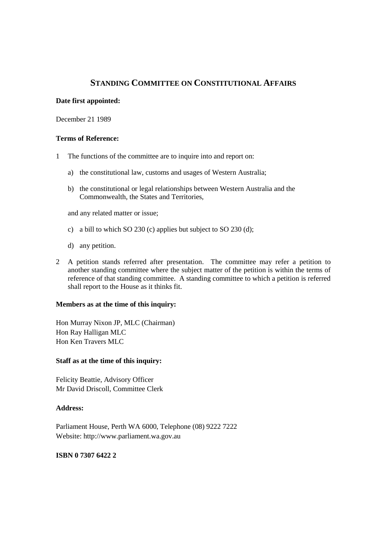### **STANDING COMMITTEE ON CONSTITUTIONAL AFFAIRS**

#### **Date first appointed:**

December 21 1989

#### **Terms of Reference:**

- 1 The functions of the committee are to inquire into and report on:
	- a) the constitutional law, customs and usages of Western Australia;
	- b) the constitutional or legal relationships between Western Australia and the Commonwealth, the States and Territories,

and any related matter or issue;

- c) a bill to which SO 230 (c) applies but subject to SO 230 (d);
- d) any petition.
- 2 A petition stands referred after presentation. The committee may refer a petition to another standing committee where the subject matter of the petition is within the terms of reference of that standing committee. A standing committee to which a petition is referred shall report to the House as it thinks fit.

#### **Members as at the time of this inquiry:**

Hon Murray Nixon JP, MLC (Chairman) Hon Ray Halligan MLC Hon Ken Travers MLC

#### **Staff as at the time of this inquiry:**

Felicity Beattie, Advisory Officer Mr David Driscoll, Committee Clerk

#### **Address:**

Parliament House, Perth WA 6000, Telephone (08) 9222 7222 Website: http://www.parliament.wa.gov.au

#### **ISBN 0 7307 6422 2**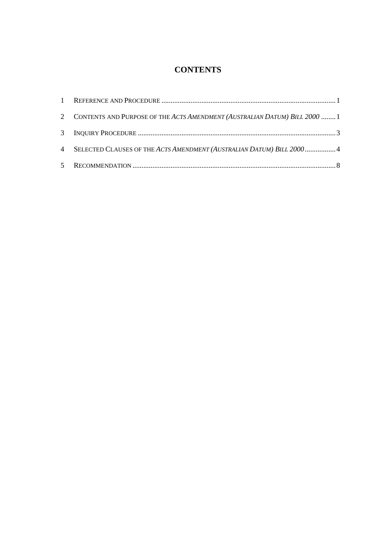## **CONTENTS**

| 2 CONTENTS AND PURPOSE OF THE ACTS AMENDMENT (AUSTRALIAN DATUM) BILL 2000  1 |  |
|------------------------------------------------------------------------------|--|
|                                                                              |  |
| 4 SELECTED CLAUSES OF THE ACTS AMENDMENT (AUSTRALIAN DATUM) BILL 2000 4      |  |
|                                                                              |  |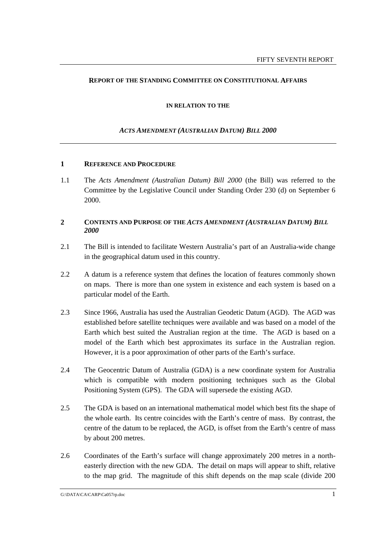#### **REPORT OF THE STANDING COMMITTEE ON CONSTITUTIONAL AFFAIRS**

#### **IN RELATION TO THE**

#### *ACTS AMENDMENT (AUSTRALIAN DATUM) BILL 2000*

#### **1 REFERENCE AND PROCEDURE**

1.1 The *Acts Amendment (Australian Datum) Bill 2000* (the Bill) was referred to the Committee by the Legislative Council under Standing Order 230 (d) on September 6 2000.

#### **2 CONTENTS AND PURPOSE OF THE** *ACTS AMENDMENT (AUSTRALIAN DATUM) BILL 2000*

- 2.1 The Bill is intended to facilitate Western Australia's part of an Australia-wide change in the geographical datum used in this country.
- 2.2 A datum is a reference system that defines the location of features commonly shown on maps. There is more than one system in existence and each system is based on a particular model of the Earth.
- 2.3 Since 1966, Australia has used the Australian Geodetic Datum (AGD). The AGD was established before satellite techniques were available and was based on a model of the Earth which best suited the Australian region at the time. The AGD is based on a model of the Earth which best approximates its surface in the Australian region. However, it is a poor approximation of other parts of the Earth's surface.
- 2.4 The Geocentric Datum of Australia (GDA) is a new coordinate system for Australia which is compatible with modern positioning techniques such as the Global Positioning System (GPS). The GDA will supersede the existing AGD.
- 2.5 The GDA is based on an international mathematical model which best fits the shape of the whole earth. Its centre coincides with the Earth's centre of mass. By contrast, the centre of the datum to be replaced, the AGD, is offset from the Earth's centre of mass by about 200 metres.
- 2.6 Coordinates of the Earth's surface will change approximately 200 metres in a northeasterly direction with the new GDA. The detail on maps will appear to shift, relative to the map grid. The magnitude of this shift depends on the map scale (divide 200

G:\DATA\CA\CARP\Ca057rp.doc 1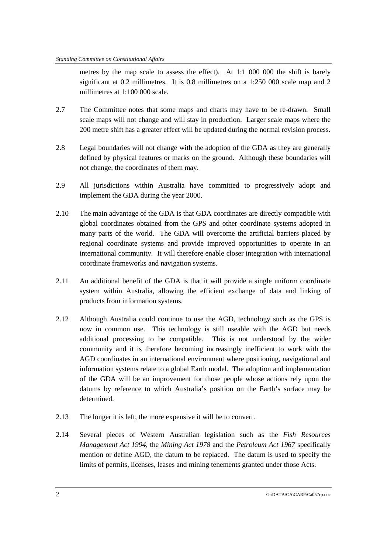metres by the map scale to assess the effect). At 1:1 000 000 the shift is barely significant at 0.2 millimetres. It is 0.8 millimetres on a 1:250 000 scale map and 2 millimetres at 1:100 000 scale.

- 2.7 The Committee notes that some maps and charts may have to be re-drawn. Small scale maps will not change and will stay in production. Larger scale maps where the 200 metre shift has a greater effect will be updated during the normal revision process.
- 2.8 Legal boundaries will not change with the adoption of the GDA as they are generally defined by physical features or marks on the ground. Although these boundaries will not change, the coordinates of them may.
- 2.9 All jurisdictions within Australia have committed to progressively adopt and implement the GDA during the year 2000.
- 2.10 The main advantage of the GDA is that GDA coordinates are directly compatible with global coordinates obtained from the GPS and other coordinate systems adopted in many parts of the world. The GDA will overcome the artificial barriers placed by regional coordinate systems and provide improved opportunities to operate in an international community. It will therefore enable closer integration with international coordinate frameworks and navigation systems.
- 2.11 An additional benefit of the GDA is that it will provide a single uniform coordinate system within Australia, allowing the efficient exchange of data and linking of products from information systems.
- 2.12 Although Australia could continue to use the AGD, technology such as the GPS is now in common use. This technology is still useable with the AGD but needs additional processing to be compatible. This is not understood by the wider community and it is therefore becoming increasingly inefficient to work with the AGD coordinates in an international environment where positioning, navigational and information systems relate to a global Earth model. The adoption and implementation of the GDA will be an improvement for those people whose actions rely upon the datums by reference to which Australia's position on the Earth's surface may be determined.
- 2.13 The longer it is left, the more expensive it will be to convert.
- 2.14 Several pieces of Western Australian legislation such as the *Fish Resources Management Act 1994*, the *Mining Act 1978* and the *Petroleum Act 1967* specifically mention or define AGD, the datum to be replaced. The datum is used to specify the limits of permits, licenses, leases and mining tenements granted under those Acts.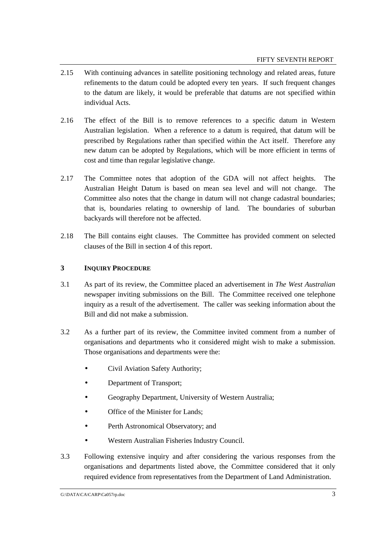- 2.15 With continuing advances in satellite positioning technology and related areas, future refinements to the datum could be adopted every ten years. If such frequent changes to the datum are likely, it would be preferable that datums are not specified within individual Acts.
- 2.16 The effect of the Bill is to remove references to a specific datum in Western Australian legislation. When a reference to a datum is required, that datum will be prescribed by Regulations rather than specified within the Act itself. Therefore any new datum can be adopted by Regulations, which will be more efficient in terms of cost and time than regular legislative change.
- 2.17 The Committee notes that adoption of the GDA will not affect heights. The Australian Height Datum is based on mean sea level and will not change. The Committee also notes that the change in datum will not change cadastral boundaries; that is, boundaries relating to ownership of land. The boundaries of suburban backyards will therefore not be affected.
- 2.18 The Bill contains eight clauses. The Committee has provided comment on selected clauses of the Bill in section 4 of this report.

#### **3 INQUIRY PROCEDURE**

- 3.1 As part of its review, the Committee placed an advertisement in *The West Australian* newspaper inviting submissions on the Bill. The Committee received one telephone inquiry as a result of the advertisement. The caller was seeking information about the Bill and did not make a submission.
- 3.2 As a further part of its review, the Committee invited comment from a number of organisations and departments who it considered might wish to make a submission. Those organisations and departments were the:
	- Civil Aviation Safety Authority;
	- Department of Transport;
	- Geography Department, University of Western Australia;
	- Office of the Minister for Lands:
	- Perth Astronomical Observatory; and
	- Western Australian Fisheries Industry Council.
- 3.3 Following extensive inquiry and after considering the various responses from the organisations and departments listed above, the Committee considered that it only required evidence from representatives from the Department of Land Administration.

G:\DATA\CA\CARP\Ca057rp.doc 3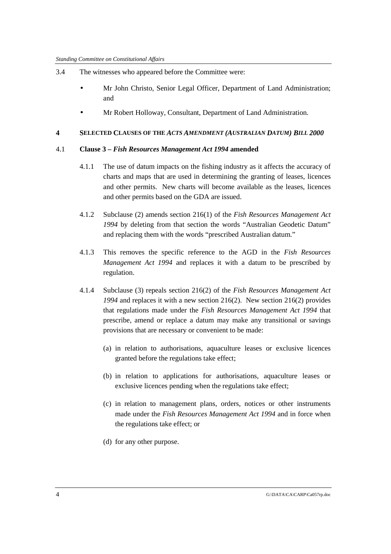- 3.4 The witnesses who appeared before the Committee were:
	- Mr John Christo, Senior Legal Officer, Department of Land Administration; and
	- Mr Robert Holloway, Consultant, Department of Land Administration.

#### **4 SELECTED CLAUSES OF THE** *ACTS AMENDMENT (AUSTRALIAN DATUM) BILL 2000*

#### 4.1 **Clause 3 –** *Fish Resources Management Act 1994* **amended**

- 4.1.1 The use of datum impacts on the fishing industry as it affects the accuracy of charts and maps that are used in determining the granting of leases, licences and other permits. New charts will become available as the leases, licences and other permits based on the GDA are issued.
- 4.1.2 Subclause (2) amends section 216(1) of the *Fish Resources Management Act 1994* by deleting from that section the words "Australian Geodetic Datum" and replacing them with the words "prescribed Australian datum."
- 4.1.3 This removes the specific reference to the AGD in the *Fish Resources Management Act 1994* and replaces it with a datum to be prescribed by regulation.
- 4.1.4 Subclause (3) repeals section 216(2) of the *Fish Resources Management Act 1994* and replaces it with a new section 216(2). New section 216(2) provides that regulations made under the *Fish Resources Management Act 1994* that prescribe, amend or replace a datum may make any transitional or savings provisions that are necessary or convenient to be made:
	- (a) in relation to authorisations, aquaculture leases or exclusive licences granted before the regulations take effect;
	- (b) in relation to applications for authorisations, aquaculture leases or exclusive licences pending when the regulations take effect;
	- (c) in relation to management plans, orders, notices or other instruments made under the *Fish Resources Management Act 1994* and in force when the regulations take effect; or
	- (d) for any other purpose.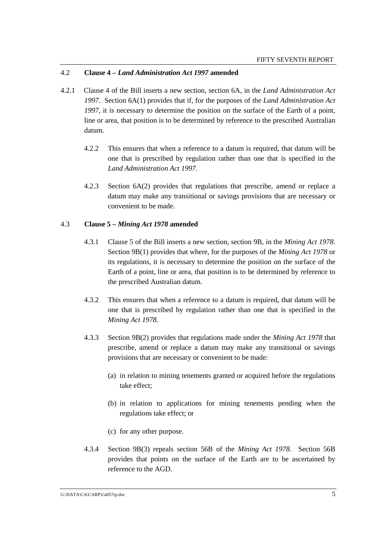#### 4.2 **Clause 4 –** *Land Administration Act 1997* **amended**

- 4.2.1 Clause 4 of the Bill inserts a new section, section 6A, in the *Land Administration Act 1997*. Section 6A(1) provides that if, for the purposes of the *Land Administration Act 1997*, it is necessary to determine the position on the surface of the Earth of a point, line or area, that position is to be determined by reference to the prescribed Australian datum.
	- 4.2.2 This ensures that when a reference to a datum is required, that datum will be one that is prescribed by regulation rather than one that is specified in the *Land Administration Act 1997.*
	- 4.2.3 Section 6A(2) provides that regulations that prescribe, amend or replace a datum may make any transitional or savings provisions that are necessary or convenient to be made.

#### 4.3 **Clause 5 –** *Mining Act 1978* **amended**

- 4.3.1 Clause 5 of the Bill inserts a new section, section 9B, in the *Mining Act 1978*. Section 9B(1) provides that where, for the purposes of the *Mining Act 1978* or its regulations, it is necessary to determine the position on the surface of the Earth of a point, line or area, that position is to be determined by reference to the prescribed Australian datum.
- 4.3.2 This ensures that when a reference to a datum is required, that datum will be one that is prescribed by regulation rather than one that is specified in the *Mining Act 1978.*
- 4.3.3 Section 9B(2) provides that regulations made under the *Mining Act 1978* that prescribe, amend or replace a datum may make any transitional or savings provisions that are necessary or convenient to be made:
	- (a) in relation to mining tenements granted or acquired before the regulations take effect;
	- (b) in relation to applications for mining tenements pending when the regulations take effect; or
	- (c) for any other purpose.
- 4.3.4 Section 9B(3) repeals section 56B of the *Mining Act 1978.* Section 56B provides that points on the surface of the Earth are to be ascertained by reference to the AGD.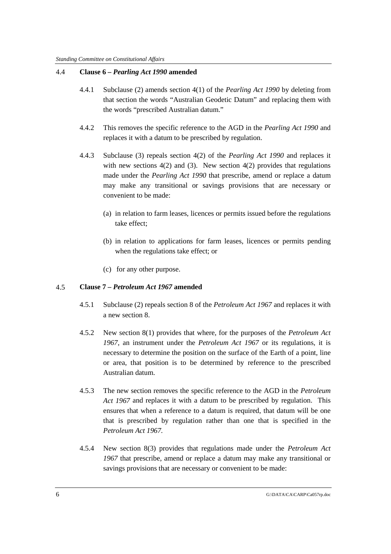#### 4.4 **Clause 6 –** *Pearling Act 1990* **amended**

- 4.4.1 Subclause (2) amends section 4(1) of the *Pearling Act 1990* by deleting from that section the words "Australian Geodetic Datum" and replacing them with the words "prescribed Australian datum."
- 4.4.2 This removes the specific reference to the AGD in the *Pearling Act 1990* and replaces it with a datum to be prescribed by regulation.
- 4.4.3 Subclause (3) repeals section 4(2) of the *Pearling Act 1990* and replaces it with new sections  $4(2)$  and  $(3)$ . New section  $4(2)$  provides that regulations made under the *Pearling Act 1990* that prescribe, amend or replace a datum may make any transitional or savings provisions that are necessary or convenient to be made:
	- (a) in relation to farm leases, licences or permits issued before the regulations take effect;
	- (b) in relation to applications for farm leases, licences or permits pending when the regulations take effect; or
	- (c) for any other purpose.

#### 4.5 **Clause 7 –** *Petroleum Act 1967* **amended**

- 4.5.1 Subclause (2) repeals section 8 of the *Petroleum Act 1967* and replaces it with a new section 8.
- 4.5.2 New section 8(1) provides that where, for the purposes of the *Petroleum Act 1967*, an instrument under the *Petroleum Act 1967* or its regulations, it is necessary to determine the position on the surface of the Earth of a point, line or area, that position is to be determined by reference to the prescribed Australian datum.
- 4.5.3 The new section removes the specific reference to the AGD in the *Petroleum Act 1967* and replaces it with a datum to be prescribed by regulation. This ensures that when a reference to a datum is required, that datum will be one that is prescribed by regulation rather than one that is specified in the *Petroleum Act 1967.*
- 4.5.4 New section 8(3) provides that regulations made under the *Petroleum Act 1967* that prescribe, amend or replace a datum may make any transitional or savings provisions that are necessary or convenient to be made: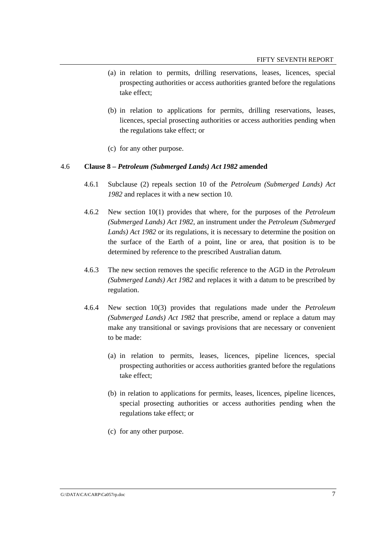- (a) in relation to permits, drilling reservations, leases, licences, special prospecting authorities or access authorities granted before the regulations take effect;
- (b) in relation to applications for permits, drilling reservations, leases, licences, special prosecting authorities or access authorities pending when the regulations take effect; or
- (c) for any other purpose.

#### 4.6 **Clause 8 –** *Petroleum (Submerged Lands) Act 1982* **amended**

- 4.6.1 Subclause (2) repeals section 10 of the *Petroleum (Submerged Lands) Act 1982* and replaces it with a new section 10.
- 4.6.2 New section 10(1) provides that where, for the purposes of the *Petroleum (Submerged Lands) Act 1982*, an instrument under the *Petroleum (Submerged Lands) Act 1982* or its regulations, it is necessary to determine the position on the surface of the Earth of a point, line or area, that position is to be determined by reference to the prescribed Australian datum.
- 4.6.3 The new section removes the specific reference to the AGD in the *Petroleum (Submerged Lands) Act 1982* and replaces it with a datum to be prescribed by regulation.
- 4.6.4 New section 10(3) provides that regulations made under the *Petroleum (Submerged Lands) Act 1982* that prescribe, amend or replace a datum may make any transitional or savings provisions that are necessary or convenient to be made:
	- (a) in relation to permits, leases, licences, pipeline licences, special prospecting authorities or access authorities granted before the regulations take effect;
	- (b) in relation to applications for permits, leases, licences, pipeline licences, special prosecting authorities or access authorities pending when the regulations take effect; or
	- (c) for any other purpose.

#### G:\DATA\CA\CARP\Ca057rp.doc 7